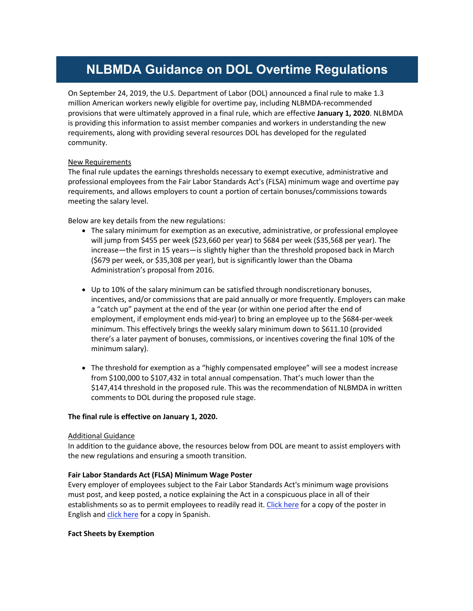# **NLBMDA Guidance on DOL Overtime Regulations**

On September 24, 2019, the U.S. Department of Labor (DOL) announced a final rule to make 1.3 million American workers newly eligible for overtime pay, including NLBMDA-recommended provisions that were ultimately approved in a final rule, which are effective **January 1, 2020**. NLBMDA is providing this information to assist member companies and workers in understanding the new requirements, along with providing several resources DOL has developed for the regulated community.

# New Requirements

The final rule updates the earnings thresholds necessary to exempt executive, administrative and professional employees from the Fair Labor Standards Act's (FLSA) minimum wage and overtime pay requirements, and allows employers to count a portion of certain bonuses/commissions towards meeting the salary level.

Below are key details from the new regulations:

- The salary minimum for exemption as an executive, administrative, or professional employee will jump from \$455 per week (\$23,660 per year) to \$684 per week (\$35,568 per year). The increase—the first in 15 years—is slightly higher than the threshold proposed back in March (\$679 per week, or \$35,308 per year), but is significantly lower than the Obama Administration's proposal from 2016.
- Up to 10% of the salary minimum can be satisfied through nondiscretionary bonuses, incentives, and/or commissions that are paid annually or more frequently. Employers can make a "catch up" payment at the end of the year (or within one period after the end of employment, if employment ends mid-year) to bring an employee up to the \$684-per-week minimum. This effectively brings the weekly salary minimum down to \$611.10 (provided there's a later payment of bonuses, commissions, or incentives covering the final 10% of the minimum salary).
- The threshold for exemption as a "highly compensated employee" will see a modest increase from \$100,000 to \$107,432 in total annual compensation. That's much lower than the \$147,414 threshold in the proposed rule. This was the recommendation of NLBMDA in written comments to DOL during the proposed rule stage.

### **The final rule is effective on January 1, 2020.**

## Additional Guidance

In addition to the guidance above, the resources below from DOL are meant to assist employers with the new regulations and ensuring a smooth transition.

## **Fair Labor Standards Act (FLSA) Minimum Wage Poster**

Every employer of employees subject to the Fair Labor Standards Act's minimum wage provisions must post, and keep posted, a notice explaining the Act in a conspicuous place in all of their establishments so as to permit employees to readily read it. Click here for a copy of the poster in English and click here for a copy in Spanish.

### **Fact Sheets by Exemption**